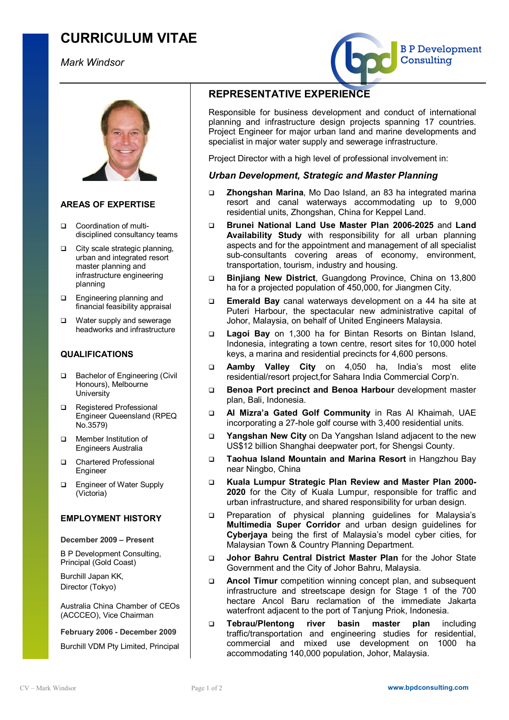# **CURRICULUM VITAE**

## *Mark Windsor*



## **AREAS OF EXPERTISE**

- □ Coordination of multidisciplined consultancy teams
- □ City scale strategic planning, urban and integrated resort master planning and infrastructure engineering planning
- **Q** Engineering planning and financial feasibility appraisal
- □ Water supply and sewerage headworks and infrastructure

## **QUALIFICATIONS**

- □ Bachelor of Engineering (Civil Honours), Melbourne **University**
- □ Registered Professional Engineer Queensland (RPEQ No.3579)
- Member Institution of Engineers Australia
- □ Chartered Professional **Engineer**
- □ Engineer of Water Supply (Victoria)

### **EMPLOYMENT HISTORY**

#### **December 2009 – Present**

B P Development Consulting, Principal (Gold Coast)

Burchill Japan KK, Director (Tokyo)

Australia China Chamber of CEOs (ACCCEO), Vice Chairman

**February 2006 - December 2009** 

Burchill VDM Pty Limited, Principal

## **REPRESENTATIVE EXPERIENCE**

Responsible for business development and conduct of international planning and infrastructure design projects spanning 17 countries. Project Engineer for major urban land and marine developments and specialist in major water supply and sewerage infrastructure.

B P Development

**Consulting** 

Project Director with a high level of professional involvement in:

## *Urban Development, Strategic and Master Planning*

- q **Zhongshan Marina**, Mo Dao Island, an 83 ha integrated marina resort and canal waterways accommodating up to 9,000 residential units, Zhongshan, China for Keppel Land.
- q **Brunei National Land Use Master Plan 2006-2025** and **Land Availability Study** with responsibility for all urban planning aspects and for the appointment and management of all specialist sub-consultants covering areas of economy, environment, transportation, tourism, industry and housing.
- q **Binjiang New District**, Guangdong Province, China on 13,800 ha for a projected population of 450,000, for Jiangmen City.
- q **Emerald Bay** canal waterways development on a 44 ha site at Puteri Harbour, the spectacular new administrative capital of Johor, Malaysia, on behalf of United Engineers Malaysia.
- q **Lagoi Bay** on 1,300 ha for Bintan Resorts on Bintan Island, Indonesia, integrating a town centre, resort sites for 10,000 hotel keys, a marina and residential precincts for 4,600 persons.
- q **Aamby Valley City** on 4,050 ha, India's most elite residential/resort project,for Sahara India Commercial Corp'n.
- q **Benoa Port precinct and Benoa Harbour** development master plan, Bali, Indonesia.
- q **Al Mizra'a Gated Golf Community** in Ras Al Khaimah, UAE incorporating a 27-hole golf course with 3,400 residential units.
- q **Yangshan New City** on Da Yangshan Island adjacent to the new US\$12 billion Shanghai deepwater port, for Shengsi County.
- q **Taohua Island Mountain and Marina Resort** in Hangzhou Bay near Ningbo, China
- q **Kuala Lumpur Strategic Plan Review and Master Plan 2000- 2020** for the City of Kuala Lumpur, responsible for traffic and urban infrastructure, and shared responsibility for urban design.
- **p** Preparation of physical planning guidelines for Malaysia's **Multimedia Super Corridor** and urban design guidelines for **Cyberjaya** being the first of Malaysia's model cyber cities, for Malaysian Town & Country Planning Department.
- q **Johor Bahru Central District Master Plan** for the Johor State Government and the City of Johor Bahru, Malaysia.
- q **Ancol Timur** competition winning concept plan, and subsequent infrastructure and streetscape design for Stage 1 of the 700 hectare Ancol Baru reclamation of the immediate Jakarta waterfront adjacent to the port of Tanjung Priok, Indonesia.
- q **Tebrau/Plentong river basin master plan** including traffic/transportation and engineering studies for residential, commercial and mixed use development on 1000 ha accommodating 140,000 population, Johor, Malaysia.